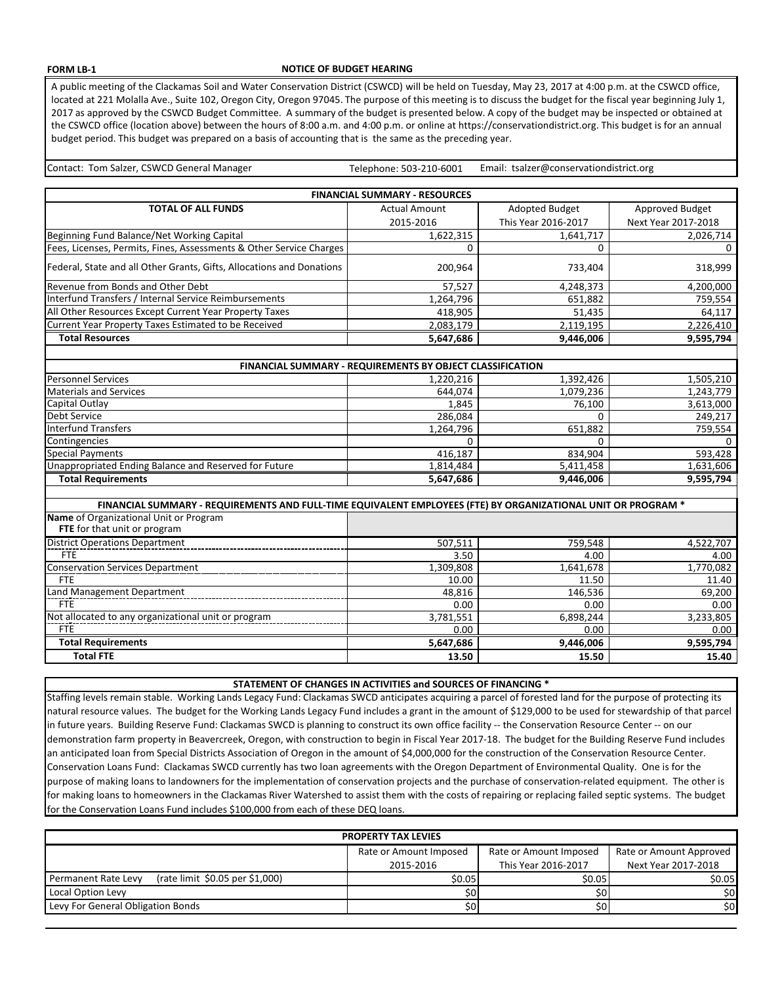## **FORM LB-1**

## **NOTICE OF BUDGET HEARING**

A public meeting of the Clackamas Soil and Water Conservation District (CSWCD) will be held on Tuesday, May 23, 2017 at 4:00 p.m. at the CSWCD office, located at 221 Molalla Ave., Suite 102, Oregon City, Oregon 97045. The purpose of this meeting is to discuss the budget for the fiscal year beginning July 1, 2017 as approved by the CSWCD Budget Committee. A summary of the budget is presented below. A copy of the budget may be inspected or obtained at the CSWCD office (location above) between the hours of 8:00 a.m. and 4:00 p.m. or online at https://conservationdistrict.org. This budget is for an annual budget period. This budget was prepared on a basis of accounting that is the same as the preceding year.

Telephone: 503-210-6001 Contact: Tom Salzer, CSWCD General Manager The Manager Telephone: 503-210-6001 Email: tsalzer@conservationdistrict.org

| <b>FINANCIAL SUMMARY - RESOURCES</b>                                                                          |                      |                       |                     |  |  |
|---------------------------------------------------------------------------------------------------------------|----------------------|-----------------------|---------------------|--|--|
| <b>TOTAL OF ALL FUNDS</b>                                                                                     | <b>Actual Amount</b> | <b>Adopted Budget</b> | Approved Budget     |  |  |
|                                                                                                               | 2015-2016            | This Year 2016-2017   | Next Year 2017-2018 |  |  |
| Beginning Fund Balance/Net Working Capital                                                                    | 1,622,315            | 1,641,717             | 2,026,714           |  |  |
| Fees, Licenses, Permits, Fines, Assessments & Other Service Charges                                           | $\Omega$             | 0                     | $\Omega$            |  |  |
| Federal, State and all Other Grants, Gifts, Allocations and Donations                                         | 200,964              | 733,404               | 318,999             |  |  |
| Revenue from Bonds and Other Debt                                                                             | 57,527               | 4,248,373             | 4,200,000           |  |  |
| <b>Interfund Transfers / Internal Service Reimbursements</b>                                                  | 1,264,796            | 651,882               | 759,554             |  |  |
| All Other Resources Except Current Year Property Taxes                                                        | 418,905              | 51,435                | 64,117              |  |  |
| Current Year Property Taxes Estimated to be Received                                                          | 2,083,179            | 2,119,195             | 2,226,410           |  |  |
| <b>Total Resources</b>                                                                                        | 5,647,686            | 9,446,006             | 9,595,794           |  |  |
|                                                                                                               |                      |                       |                     |  |  |
| FINANCIAL SUMMARY - REQUIREMENTS BY OBJECT CLASSIFICATION                                                     |                      |                       |                     |  |  |
| <b>Personnel Services</b>                                                                                     | 1,220,216            | 1,392,426             | 1,505,210           |  |  |
| <b>Materials and Services</b>                                                                                 | 644,074              | 1,079,236             | 1,243,779           |  |  |
| Capital Outlay                                                                                                | 1,845                | 76,100                | 3,613,000           |  |  |
| Debt Service                                                                                                  | 286,084              | $\mathbf{0}$          | 249,217             |  |  |
| <b>Interfund Transfers</b>                                                                                    | 1,264,796            | 651,882               | 759,554             |  |  |
| Contingencies                                                                                                 | $\Omega$             | $\overline{0}$        | $\Omega$            |  |  |
| <b>Special Payments</b>                                                                                       | 416,187              | 834,904               | 593,428             |  |  |
| Unappropriated Ending Balance and Reserved for Future                                                         | 1,814,484            | 5,411,458             | 1,631,606           |  |  |
| <b>Total Requirements</b>                                                                                     | 5,647,686            | 9,446,006             | 9,595,794           |  |  |
|                                                                                                               |                      |                       |                     |  |  |
| FINANCIAL SUMMARY - REQUIREMENTS AND FULL-TIME EQUIVALENT EMPLOYEES (FTE) BY ORGANIZATIONAL UNIT OR PROGRAM * |                      |                       |                     |  |  |
| Name of Organizational Unit or Program<br>FTE for that unit or program                                        |                      |                       |                     |  |  |
| <b>District Operations Department</b>                                                                         | 507,511              | 759,548               | 4,522,707           |  |  |
| <b>FTE</b>                                                                                                    | 3.50                 | 4.00                  | 4.00                |  |  |
| <b>Conservation Services Department</b>                                                                       | 1,309,808            | 1,641,678             | 1,770,082           |  |  |
| <b>FTE</b>                                                                                                    | 10.00                | 11.50                 | 11.40               |  |  |
| Land Management Department                                                                                    | 48,816               | 146,536               | 69,200              |  |  |
| <b>FTE</b>                                                                                                    | 0.00                 | 0.00                  | 0.00                |  |  |
| Not allocated to any organizational unit or program                                                           | 3,781,551            | 6,898,244             | 3,233,805           |  |  |
| <b>FTE</b>                                                                                                    | 0.00                 | 0.00                  | 0.00                |  |  |
| <b>Total Requirements</b>                                                                                     | 5,647,686            | 9,446,006             | 9,595,794           |  |  |
| <b>Total FTE</b>                                                                                              | 13.50                | 15.50                 | 15.40               |  |  |

**STATEMENT OF CHANGES IN ACTIVITIES and SOURCES OF FINANCING \***

Staffing levels remain stable. Working Lands Legacy Fund: Clackamas SWCD anticipates acquiring a parcel of forested land for the purpose of protecting its natural resource values. The budget for the Working Lands Legacy Fund includes a grant in the amount of \$129,000 to be used for stewardship of that parcel in future years. Building Reserve Fund: Clackamas SWCD is planning to construct its own office facility -- the Conservation Resource Center -- on our demonstration farm property in Beavercreek, Oregon, with construction to begin in Fiscal Year 2017-18. The budget for the Building Reserve Fund includes an anticipated loan from Special Districts Association of Oregon in the amount of \$4,000,000 for the construction of the Conservation Resource Center. Conservation Loans Fund: Clackamas SWCD currently has two loan agreements with the Oregon Department of Environmental Quality. One is for the purpose of making loans to landowners for the implementation of conservation projects and the purchase of conservation-related equipment. The other is for making loans to homeowners in the Clackamas River Watershed to assist them with the costs of repairing or replacing failed septic systems. The budget for the Conservation Loans Fund includes \$100,000 from each of these DEQ loans.

| <b>PROPERTY TAX LEVIES</b>                             |                        |                        |                         |  |  |
|--------------------------------------------------------|------------------------|------------------------|-------------------------|--|--|
|                                                        | Rate or Amount Imposed | Rate or Amount Imposed | Rate or Amount Approved |  |  |
|                                                        | 2015-2016              | This Year 2016-2017    | Next Year 2017-2018     |  |  |
| (rate limit \$0.05 per \$1,000)<br>Permanent Rate Levy | \$0.05                 | \$0.05                 | \$0.05                  |  |  |
| Local Option Levy                                      | 50'                    |                        | 50 <sub>l</sub>         |  |  |
| Levy For General Obligation Bonds                      | \$0                    |                        | \$0l                    |  |  |